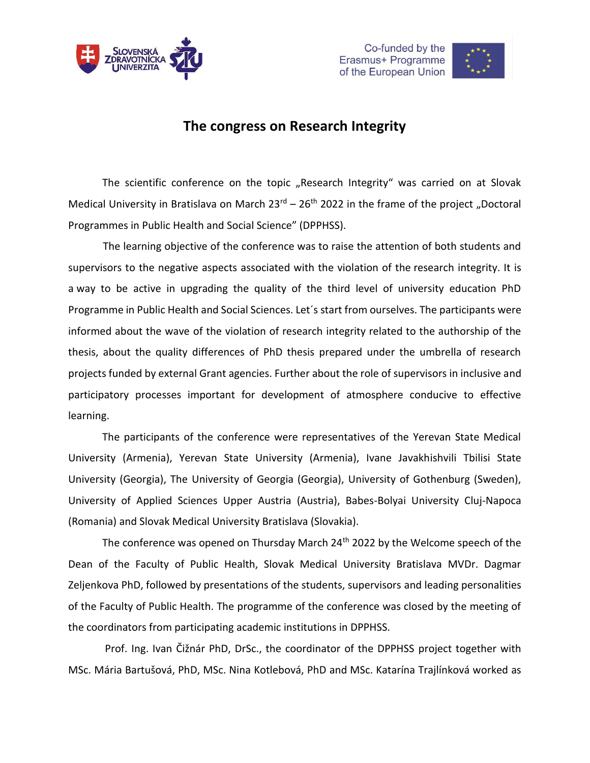





## **The congress on Research Integrity**

The scientific conference on the topic "Research Integrity" was carried on at Slovak Medical University in Bratislava on March  $23^{rd}$  –  $26^{th}$  2022 in the frame of the project "Doctoral Programmes in Public Health and Social Science" (DPPHSS).

 The learning objective of the conference was to raise the attention of both students and supervisors to the negative aspects associated with the violation of the research integrity. It is a way to be active in upgrading the quality of the third level of university education PhD Programme in Public Health and Social Sciences. Let´s start from ourselves. The participants were informed about the wave of the violation of research integrity related to the authorship of the thesis, about the quality differences of PhD thesis prepared under the umbrella of research projects funded by external Grant agencies. Further about the role of supervisors in inclusive and participatory processes important for development of atmosphere conducive to effective learning.

The participants of the conference were representatives of the Yerevan State Medical University (Armenia), Yerevan State University (Armenia), Ivane Javakhishvili Tbilisi State University (Georgia), The University of Georgia (Georgia), University of Gothenburg (Sweden), University of Applied Sciences Upper Austria (Austria), Babes-Bolyai University Cluj-Napoca (Romania) and Slovak Medical University Bratislava (Slovakia).

The conference was opened on Thursday March 24<sup>th</sup> 2022 by the Welcome speech of the Dean of the Faculty of Public Health, Slovak Medical University Bratislava MVDr. Dagmar Zeljenkova PhD, followed by presentations of the students, supervisors and leading personalities of the Faculty of Public Health. The programme of the conference was closed by the meeting of the coordinators from participating academic institutions in DPPHSS.

Prof. Ing. Ivan Čižnár PhD, DrSc., the coordinator of the DPPHSS project together with MSc. Mária Bartušová, PhD, MSc. Nina Kotlebová, PhD and MSc. Katarína Trajlínková worked as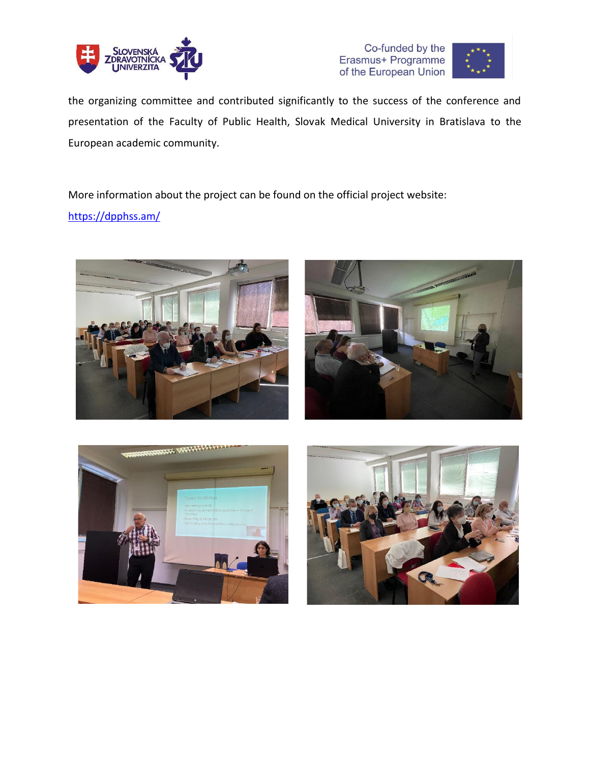





the organizing committee and contributed significantly to the success of the conference and presentation of the Faculty of Public Health, Slovak Medical University in Bratislava to the European academic community.

More information about the project can be found on the official project website:

<https://dpphss.am/>